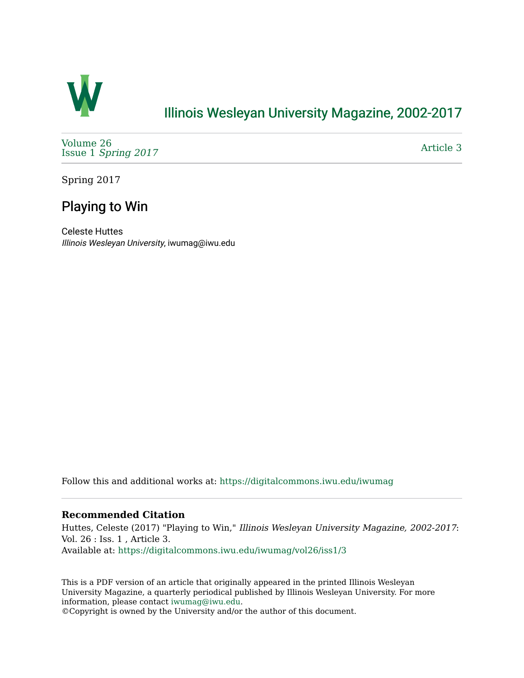

## [Illinois Wesleyan University Magazine, 2002-2017](https://digitalcommons.iwu.edu/iwumag)

[Volume 26](https://digitalcommons.iwu.edu/iwumag/vol26)  Issue 1 [Spring 2017](https://digitalcommons.iwu.edu/iwumag/vol26/iss1)

[Article 3](https://digitalcommons.iwu.edu/iwumag/vol26/iss1/3) 

Spring 2017

# Playing to Win

Celeste Huttes Illinois Wesleyan University, iwumag@iwu.edu

Follow this and additional works at: [https://digitalcommons.iwu.edu/iwumag](https://digitalcommons.iwu.edu/iwumag?utm_source=digitalcommons.iwu.edu%2Fiwumag%2Fvol26%2Fiss1%2F3&utm_medium=PDF&utm_campaign=PDFCoverPages) 

## **Recommended Citation**

Huttes, Celeste (2017) "Playing to Win," Illinois Wesleyan University Magazine, 2002-2017: Vol. 26 : Iss. 1 , Article 3. Available at: [https://digitalcommons.iwu.edu/iwumag/vol26/iss1/3](https://digitalcommons.iwu.edu/iwumag/vol26/iss1/3?utm_source=digitalcommons.iwu.edu%2Fiwumag%2Fvol26%2Fiss1%2F3&utm_medium=PDF&utm_campaign=PDFCoverPages)

This is a PDF version of an article that originally appeared in the printed Illinois Wesleyan University Magazine, a quarterly periodical published by Illinois Wesleyan University. For more information, please contact [iwumag@iwu.edu](mailto:iwumag@iwu.edu).

©Copyright is owned by the University and/or the author of this document.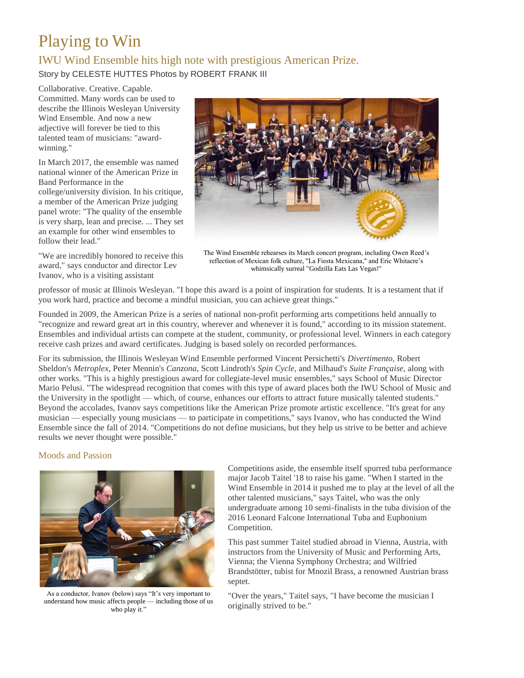# Playing to Win

## IWU Wind Ensemble hits high note with prestigious American Prize.

Story by CELESTE HUTTES Photos by ROBERT FRANK III

Collaborative. Creative. Capable. Committed. Many words can be used to describe the Illinois Wesleyan University Wind Ensemble. And now a new adjective will forever be tied to this talented team of musicians: "awardwinning."

In March 2017, the ensemble was named national winner of the American Prize in Band Performance in the college/university division. In his critique, a member of the American Prize judging panel wrote: "The quality of the ensemble is very sharp, lean and precise. ... They set an example for other wind ensembles to follow their lead."

"We are incredibly honored to receive this award," says conductor and director Lev Ivanov, who is a visiting assistant



The Wind Ensemble rehearses its March concert program, including Owen Reed's reflection of Mexican folk culture, "La Fiesta Mexicana," and Eric Whitacre's whimsically surreal "Godzilla Eats Las Vegas!"

professor of music at Illinois Wesleyan. "I hope this award is a point of inspiration for students. It is a testament that if you work hard, practice and become a mindful musician, you can achieve great things."

Founded in 2009, the American Prize is a series of national non-profit performing arts competitions held annually to "recognize and reward great art in this country, wherever and whenever it is found," according to its mission statement. Ensembles and individual artists can compete at the student, community, or professional level. Winners in each category receive cash prizes and award certificates. Judging is based solely on recorded performances.

For its submission, the Illinois Wesleyan Wind Ensemble performed Vincent Persichetti's *Divertimento,* Robert Sheldon's *Metroplex,* Peter Mennin's *Canzona,* Scott Lindroth's *Spin Cycle,* and Milhaud's *Suite Française,* along with other works. "This is a highly prestigious award for collegiate-level music ensembles," says School of Music Director Mario Pelusi. "The widespread recognition that comes with this type of award places both the IWU School of Music and the University in the spotlight — which, of course, enhances our efforts to attract future musically talented students." Beyond the accolades, Ivanov says competitions like the American Prize promote artistic excellence. "It's great for any musician — especially young musicians — to participate in competitions," says Ivanov, who has conducted the Wind Ensemble since the fall of 2014. "Competitions do not define musicians, but they help us strive to be better and achieve results we never thought were possible."

## Moods and Passion



As a conductor, Ivanov (below) says "It's very important to understand how music affects people — including those of us who play it."

Competitions aside, the ensemble itself spurred tuba performance major Jacob Taitel '18 to raise his game. "When I started in the Wind Ensemble in 2014 it pushed me to play at the level of all the other talented musicians," says Taitel, who was the only undergraduate among 10 semi-finalists in the tuba division of the 2016 Leonard Falcone International Tuba and Euphonium Competition.

This past summer Taitel studied abroad in Vienna, Austria, with instructors from the University of Music and Performing Arts, Vienna; the Vienna Symphony Orchestra; and Wilfried Brandstötter, tubist for Mnozil Brass, a renowned Austrian brass septet.

"Over the years," Taitel says, "I have become the musician I originally strived to be."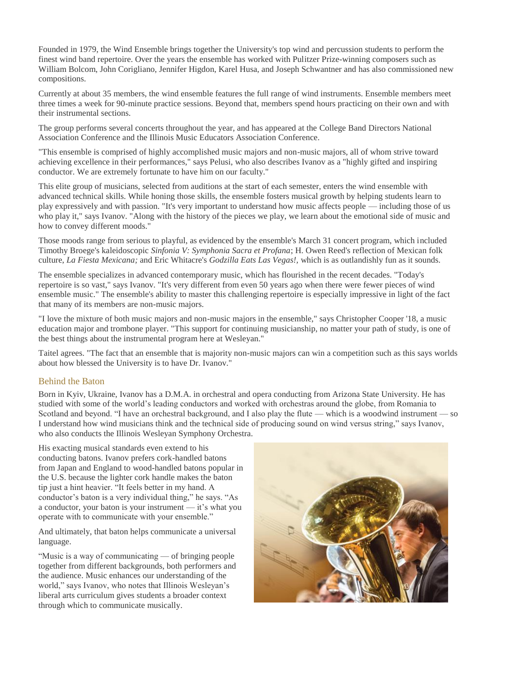Founded in 1979, the Wind Ensemble brings together the University's top wind and percussion students to perform the finest wind band repertoire. Over the years the ensemble has worked with Pulitzer Prize-winning composers such as William Bolcom, John Corigliano, Jennifer Higdon, Karel Husa, and Joseph Schwantner and has also commissioned new compositions.

Currently at about 35 members, the wind ensemble features the full range of wind instruments. Ensemble members meet three times a week for 90-minute practice sessions. Beyond that, members spend hours practicing on their own and with their instrumental sections.

The group performs several concerts throughout the year, and has appeared at the College Band Directors National Association Conference and the Illinois Music Educators Association Conference.

"This ensemble is comprised of highly accomplished music majors and non-music majors, all of whom strive toward achieving excellence in their performances," says Pelusi, who also describes Ivanov as a "highly gifted and inspiring conductor. We are extremely fortunate to have him on our faculty."

This elite group of musicians, selected from auditions at the start of each semester, enters the wind ensemble with advanced technical skills. While honing those skills, the ensemble fosters musical growth by helping students learn to play expressively and with passion. "It's very important to understand how music affects people — including those of us who play it," says Ivanov. "Along with the history of the pieces we play, we learn about the emotional side of music and how to convey different moods."

Those moods range from serious to playful, as evidenced by the ensemble's March 31 concert program, which included Timothy Broege's kaleidoscopic *Sinfonia V: Symphonia Sacra et Profana*; H. Owen Reed's reflection of Mexican folk culture, *La Fiesta Mexicana;* and Eric Whitacre's *Godzilla Eats Las Vegas!,* which is as outlandishly fun as it sounds.

The ensemble specializes in advanced contemporary music, which has flourished in the recent decades. "Today's repertoire is so vast," says Ivanov. "It's very different from even 50 years ago when there were fewer pieces of wind ensemble music." The ensemble's ability to master this challenging repertoire is especially impressive in light of the fact that many of its members are non-music majors.

"I love the mixture of both music majors and non-music majors in the ensemble," says Christopher Cooper '18, a music education major and trombone player. "This support for continuing musicianship, no matter your path of study, is one of the best things about the instrumental program here at Wesleyan."

Taitel agrees. "The fact that an ensemble that is majority non-music majors can win a competition such as this says worlds about how blessed the University is to have Dr. Ivanov."

#### Behind the Baton

Born in Kyiv, Ukraine, Ivanov has a D.M.A. in orchestral and opera conducting from Arizona State University. He has studied with some of the world's leading conductors and worked with orchestras around the globe, from Romania to Scotland and beyond. "I have an orchestral background, and I also play the flute — which is a woodwind instrument — so I understand how wind musicians think and the technical side of producing sound on wind versus string," says Ivanov, who also conducts the Illinois Wesleyan Symphony Orchestra.

His exacting musical standards even extend to his conducting batons. Ivanov prefers cork-handled batons from Japan and England to wood-handled batons popular in the U.S. because the lighter cork handle makes the baton tip just a hint heavier. "It feels better in my hand. A conductor's baton is a very individual thing," he says. "As a conductor, your baton is your instrument — it's what you operate with to communicate with your ensemble."

And ultimately, that baton helps communicate a universal language.

"Music is a way of communicating — of bringing people together from different backgrounds, both performers and the audience. Music enhances our understanding of the world," says Ivanov, who notes that Illinois Wesleyan's liberal arts curriculum gives students a broader context through which to communicate musically.